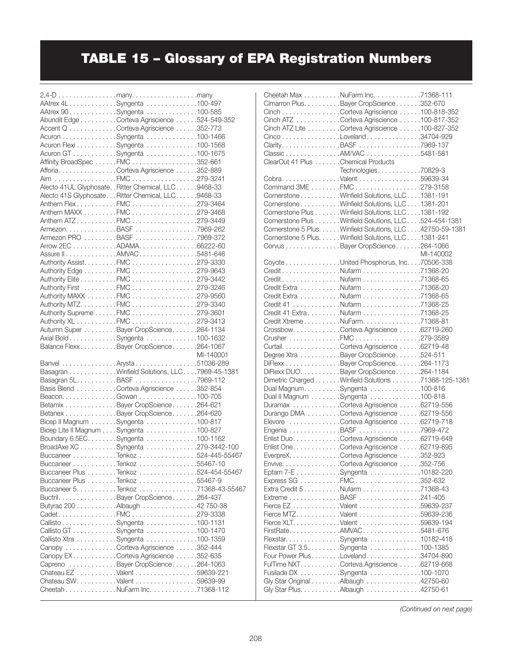## TABLE 15 – Glossary of EPA Registration Numbers

| 2,4-D many. many                                        |           |
|---------------------------------------------------------|-----------|
| AAtrex 4LSyngenta 100-497                               |           |
| AAtrex 90. Syngenta 100-585                             |           |
| Abundit Edge Corteva Agriscience 524-549-352            |           |
| Accent Q Corteva Agriscience 352-773                    |           |
| Acuron Syngenta 100-1466                                |           |
| Acuron Flexi Syngenta 100-1568                          |           |
| Acuron GT Syngenta 100-1675                             |           |
| Affinity BroadSpec FMC 352-661                          |           |
| Afforia. Corteva Agriscience 352-889                    |           |
|                                                         |           |
| Alecto 41UL Glyphosate. . Ritter Chemical, LLC. 9468-33 |           |
| Alecto 41S Glyphosate. Ritter Chemical, LLC. 9468-33    |           |
| Anthem FlexFMC279-3464                                  |           |
| Anthem MAXX FMC 279-3468                                |           |
| Anthem ATZFMC279-3449                                   |           |
|                                                         |           |
| Armezon. BASF 7969-262<br>Armezon PRO BASF 7969-372     |           |
| Arrow 2EC ADAMA. 66222-60                               |           |
| Assure II AMVAC 5481-646                                |           |
| Authority Assist. FMC 279-3330                          |           |
| Authority Edge FMC 279-9643                             |           |
| Authority Elite FMC 279-3442                            |           |
| Authority First FMC 279-3246                            |           |
| Authority MAXX FMC 279-9560                             |           |
| Authority MTZ. FMC 279-3340                             |           |
| Authority Supreme FMC 279-3601                          |           |
| Authority XL FMC 279-3413                               |           |
| Autumn Super Bayer CropScience 264-1134                 |           |
| Axial Bold. Syngenta 100-1632                           |           |
| Balance FlexxBayer CropScience264-1067                  |           |
|                                                         | MI-140001 |
| MI-140001<br>51036-289Arysta51036-289                   |           |
| Basagran Winfield Solutions, LLC 7969-45-1381           |           |
| Basagran 5L. BASF 7969-112                              |           |
| Basis Blend Corteva Agriscience 352-854                 |           |
| Beacon. Gowan 100-705                                   |           |
| Betamix Bayer CropScience 264-621                       |           |
| Betanex Bayer CropScience 264-620                       |           |
| Bicep II Magnum Syngenta 100-817                        |           |
| Bicep Lite II Magnum Syngenta 100-827                   |           |
| Boundary 6.5EC. Syngenta 100-1162                       |           |
| BroadAxe XC Syngenta 279-3442-100                       |           |
| Buccaneer Tenkoz 524-445-55467                          |           |
| Buccaneer Tenkoz 55467-10                               |           |
| Buccaneer Plus Tenkoz 524-454-55467                     |           |
| Buccaneer Plus Tenkoz 55467-9                           |           |
| Buccaneer 5. Tenkoz 71368-43-55467                      |           |
| Buctril. Bayer CropScience 264-437                      |           |
| Butyrac 200 Albaugh 42 750-38                           |           |
| CadetFMC279-3338                                        |           |
| Callisto Syngenta 100-1131                              |           |
| Callisto GT Syngenta 100-1470                           |           |
| Callisto Xtra Syngenta 100-1359                         |           |
| Canopy Corteva Agriscience 352-444                      |           |
| Canopy EX. Corteva Agriscience 352-635                  |           |
| Capreno Bayer CropScience 264-1063                      |           |
| Chateau EZ Valent 59639-221                             |           |
| Chateau SW. Valent 59639-99                             |           |
| Cheetah NuFarm Inc. 71368-112                           |           |
|                                                         |           |

|                                    | Cheetah Max NuFarm Inc. 71368-111<br>Cimarron Plus. Bayer CropScience 352-670     |           |
|------------------------------------|-----------------------------------------------------------------------------------|-----------|
|                                    | Cinch Corteva Agriscience 100-818-352                                             |           |
|                                    | Cinch ATZ Corteva Agriscience 100-817-352                                         |           |
|                                    | Cinch ATZ Lite Corteva Agriscience 100-827-352                                    |           |
|                                    | CincoLoveland34704-929                                                            |           |
|                                    | ClarityBASF7969-137                                                               |           |
|                                    | ClassicAM/VAC5481-581                                                             |           |
| ClearOut 41 Plus Chemical Products |                                                                                   |           |
|                                    | Technologies70829-3                                                               |           |
|                                    | Cobra. Valent 59639-34                                                            |           |
|                                    | Command 3ME FMC 279-3158                                                          |           |
|                                    | CornerstoneWinfield Solutions, LLC1381-191                                        |           |
|                                    | CornerstoneWinfield Solutions, LLC1381-201                                        |           |
|                                    | Cornerstone Plus Winfield Solutions, LLC 1381-192                                 |           |
|                                    | Cornerstone Plus Winfield Solutions, LLC 524-454-1381                             |           |
|                                    | Cornerstone 5 Plus. Winfield Solutions, LLC. 42750-59-1381                        |           |
|                                    | Cornerstone 5 Plus. Winfield Solutions, LLC 1381-241                              |           |
|                                    | Corvus Bayer CropScience 264-1066                                                 |           |
|                                    |                                                                                   | MI-140002 |
|                                    | Coyote United Phosphorus, Inc. 70506-338                                          |           |
|                                    | CreditNufarm71368-20                                                              |           |
|                                    | CreditNufarm71368-65                                                              |           |
|                                    | Credit Extra Nufarm 71368-20                                                      |           |
|                                    | Credit Extra Nufarm 71368-65                                                      |           |
|                                    | Credit 41 Nufarm 71368-25                                                         |           |
|                                    | Credit 41 Extra Nufarm 71368-25                                                   |           |
|                                    | Credit XtremeNuFarm71368-81                                                       |           |
|                                    | CrossbowCorteva Agriscience 62719-260<br>Crusher FMC 279-3589                     |           |
|                                    | Curtail. Corteva Agriscience 62719-48                                             |           |
|                                    | Degree Xtra Bayer CropScience 524-511                                             |           |
|                                    | DiFlexx Bayer CropScience 264-1173                                                |           |
|                                    | DiFlexx DUO. Bayer CropScience 264-1184                                           |           |
|                                    | Dimetric Charged Winfield Solutions 71368-125-1381                                |           |
|                                    | Dual Magnum. Syngenta 100-816                                                     |           |
|                                    | Dual II Magnum Syngenta 100-818                                                   |           |
|                                    | Duramax Corteva Agriscience 62719-556                                             |           |
|                                    | Durango DMA Corteva Agriscience 62719-556                                         |           |
|                                    | Elevore Corteva Agriscience 62719-718                                             |           |
|                                    | Engenia BASF 7969-472                                                             |           |
|                                    | Enlist Duo. Corteva Agriscience 62719-649                                         |           |
|                                    | Enlist One. Corteva Agriscience 62719-695                                         |           |
|                                    | EverpreX. Corteva Agriscience 352-923                                             |           |
|                                    | Envive. Corteva Agriscience 352-756                                               |           |
|                                    | Eptam 7-E Syngenta 10182-220                                                      |           |
|                                    | Express SG FMC 352-632                                                            |           |
|                                    | Extra Credit 5. Nufarm 71368-43                                                   |           |
|                                    | Extreme BASF 241-405                                                              |           |
|                                    | Fierce EZ Valent 59639-237                                                        |           |
|                                    | Fierce MTZValent 59639-236                                                        |           |
|                                    | Fierce XLT. Valent 59639-194                                                      |           |
|                                    | FirstRateAMVAC5481-676                                                            |           |
|                                    | Flexstar. Syngenta 10182-418                                                      |           |
|                                    | Flexstar GT 3.5. Syngenta 100-1385                                                |           |
|                                    | Four Power Plus. Loveland 34704-890<br>FulTime NXT. Corteva Agriscience 62719-668 |           |
|                                    | Fusilade DX Syngenta 100-1070                                                     |           |
|                                    | Gly Star Original Albaugh 42750-60                                                |           |
|                                    | Gly Star Plus. Albaugh 42750-61                                                   |           |
|                                    |                                                                                   |           |

*(Continued on next page)*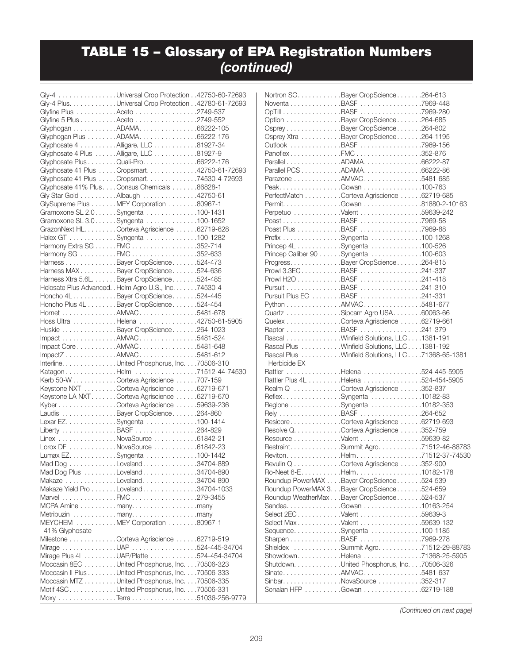## TABLE 15 – Glossary of EPA Registration Numbers *(continued)*

|                | Gly-4 Universal Crop Protection 42750-60-72693                                       |  |
|----------------|--------------------------------------------------------------------------------------|--|
|                | Gly-4 Plus. Universal Crop Protection 42780-61-72693                                 |  |
|                | Glyfine Plus Aceto 2749-537                                                          |  |
|                | Glyfine 5 Plus Aceto 2749-552                                                        |  |
|                | Glyphogan ADAMA. 66222-105                                                           |  |
|                | Glyphogan Plus ADAMA. 66222-176                                                      |  |
|                | Glyphosate 4 Alligare, LLC 81927-34                                                  |  |
|                |                                                                                      |  |
|                | Glyphosate 4 Plus Alligare, LLC 81927-9                                              |  |
|                | Glyphosate Plus Quali-Pro. 66222-176<br>Glyphosate 41 Plus Cropsmart. 42750-61-72693 |  |
|                |                                                                                      |  |
|                | Glyphosate 41 Plus Cropsmart. 74530-4-72693                                          |  |
|                | Glyphosate 41% Plus Consus Chemicals 86828-1                                         |  |
|                | Gly Star Gold Albaugh 42750-61                                                       |  |
|                | GlySupreme Plus MEY Corporation 80967-1                                              |  |
|                | Gramoxone SL 2.0. Syngenta 100-1431                                                  |  |
|                | Gramoxone SL 3.0. Syngenta 100-1652                                                  |  |
|                | GrazonNext HL. Corteva Agriscience 62719-628                                         |  |
|                | Halex GT Syngenta 100-1282                                                           |  |
|                | Harmony Extra SG FMC 352-714                                                         |  |
|                | Harmony SG FMC 352-633                                                               |  |
|                | Harness Bayer CropScience 524-473                                                    |  |
|                | Harness MAX. Bayer CropScience 524-636                                               |  |
|                | Harness Xtra 5.6L. Bayer CropScience 524-485                                         |  |
|                | Helosate Plus Advanced. . Helm Agro U.S., Inc. 74530-4                               |  |
|                | Honcho 4LBayer CropScience524-445                                                    |  |
|                | Honcho Plus 4L Bayer CropScience 524-454                                             |  |
|                | Hornet AMVAC 5481-678                                                                |  |
|                | Hoss Ultra Helena 42750-61-5905                                                      |  |
|                | Huskie Bayer CropScience 264-1023                                                    |  |
|                | Impact AMVAC 5481-524                                                                |  |
|                | Impact Core AMVAC 5481-648                                                           |  |
|                | ImpactZAMVAC5481-612                                                                 |  |
|                | Interline. United Phosphorus, Inc. 70506-310                                         |  |
|                | Katagon Helm 71512-44-74530                                                          |  |
|                | Kerb 50-W Corteva Agriscience 707-159                                                |  |
|                | Keystone NXT Corteva Agriscience 62719-671                                           |  |
|                | Keystone LA NXTCorteva Agriscience 62719-670                                         |  |
|                | Kyber Corteva Agriscience 59639-236                                                  |  |
|                | Laudis Bayer CropScience 264-860                                                     |  |
|                | Lexar EZ. Syngenta 100-1414                                                          |  |
|                | Liberty BASF 264-829                                                                 |  |
|                | Linex NovaSource 61842-21                                                            |  |
|                | Lorox DF NovaSource 61842-23                                                         |  |
|                | Lumax EZ. Syngenta 100-1442                                                          |  |
|                | Mad Dog Loveland 34704-889                                                           |  |
|                | Mad Dog Plus Loveland 34704-890                                                      |  |
|                | Makaze Loveland. 34704-890                                                           |  |
|                | Makaze Yield Pro Loveland 34704-1033                                                 |  |
|                | Marvel FMC 279-3455                                                                  |  |
|                | MCPA Amine many. many                                                                |  |
|                | Metribuzin many. many                                                                |  |
|                | MEYCHEM MEY Corporation 80967-1                                                      |  |
| 41% Glyphosate |                                                                                      |  |
|                | Milestone Corteva Agriscience 62719-519                                              |  |
|                | Mirage UAP 524-445-34704                                                             |  |
|                | Mirage Plus 4L UAP/Platte 524-454-34704                                              |  |
|                | Moccasin 8EC United Phosphorus, Inc. 70506-323                                       |  |
|                | Moccasin II Plus United Phosphorus, Inc. 70506-333                                   |  |
|                | Moccasin MTZ United Phosphorus, Inc. 70506-335                                       |  |
|                | Motif 4SCUnited Phosphorus, Inc70506-331                                             |  |
|                |                                                                                      |  |
|                |                                                                                      |  |

|              | Nortron SC. Bayer CropScience 264-613              |  |
|--------------|----------------------------------------------------|--|
|              | Noventa BASF 7969-448                              |  |
|              | OpTill BASF 7969-280                               |  |
|              | Option Bayer CropScience 264-685                   |  |
|              | Osprey Bayer CropScience 264-802                   |  |
|              |                                                    |  |
|              | Osprey Xtra Bayer CropScience 264-1195             |  |
|              | Outlook BASF 7969-156                              |  |
|              | PanoflexFMC352-876                                 |  |
|              | Parallel ADAMA. 66222-87                           |  |
|              | Parallel PCS ADAMA. 66222-86                       |  |
|              | Parazone AMVAC 5481-685                            |  |
|              | PeakGowan100-763                                   |  |
|              | PerfectMatch Corteva Agriscience 62719-685         |  |
|              | Permit. Gowan 81880-2-10163                        |  |
|              | Perpetuo Valent 59639-242                          |  |
|              | Poast BASF 7969-58                                 |  |
|              |                                                    |  |
|              | Poast Plus BASF 7969-88                            |  |
|              | Prefix Syngenta 100-1268                           |  |
|              | Princep 4L Syngenta 100-526                        |  |
|              | Princep Caliber 90 Syngenta 100-603                |  |
|              | Progress. Bayer CropScience 264-815                |  |
|              | Prowl 3.3ECBASF241-337                             |  |
|              | Prowl H2O BASF 241-418                             |  |
|              | Pursuit BASF 241-310                               |  |
|              | Pursuit Plus EC BASF 241-331                       |  |
|              | Python AMVAC 5481-677                              |  |
|              | Quartz Sipcam Agro USA60063-66                     |  |
|              |                                                    |  |
|              | Quelex Corteva Agriscience 62719-661               |  |
|              | Raptor BASF 241-379                                |  |
|              | Rascal Winfield Solutions, LLC. 1381-191           |  |
|              | Rascal Plus Winfield Solutions, LLC. 1381-192      |  |
|              | Rascal Plus Winfield Solutions, LLC. 71368-65-1381 |  |
| Herbicide EX |                                                    |  |
|              | Rattler Helena 524-445-5905                        |  |
|              | Rattler Plus 4L Helena 524-454-5905                |  |
|              | Realm Q Corteva Agriscience 352-837                |  |
|              | ReflexSyngenta 10182-83                            |  |
|              |                                                    |  |
|              | Reglone Syngenta 10182-353                         |  |
|              | Rely BASF 264-652                                  |  |
|              | ResicoreCorteva Agriscience 62719-693              |  |
|              | Resolve Q. Corteva Agriscience 352-759             |  |
|              | Resource Valent 59639-82                           |  |
|              | Restraint. Summit Agro. 71512-46-88783             |  |
|              | RevitonHelm71512-37-74530                          |  |
|              | Revulin Q Corteva Agriscience 352-900              |  |
|              | Ro-Neet 6-EHelm10182-178                           |  |
|              | Roundup PowerMAX Bayer CropScience 524-539         |  |
|              | Roundup PowerMAX 3. Bayer CropScience 524-659      |  |
|              | Roundup WeatherMax Bayer CropScience 524-537       |  |
|              | Sandea. Gowan 10163-254                            |  |
|              | Select 2EC Valent 59639-3                          |  |
|              |                                                    |  |
|              | Select MaxValent 59639-132                         |  |
|              | Sequence. Syngenta 100-1185                        |  |
|              | Sharpen BASF 7969-278                              |  |
|              | Shieldex Summit Agro71512-29-88783                 |  |
|              | ShowdownHelena 71368-25-5905                       |  |
|              | Shutdown. United Phosphorus, Inc. 70506-326        |  |
|              | SinateAMVAC5481-637                                |  |
|              | Sinbar. NovaSource 352-317                         |  |
|              | Sonalan HFP Gowan 62719-188                        |  |
|              |                                                    |  |

*(Continued on next page)*